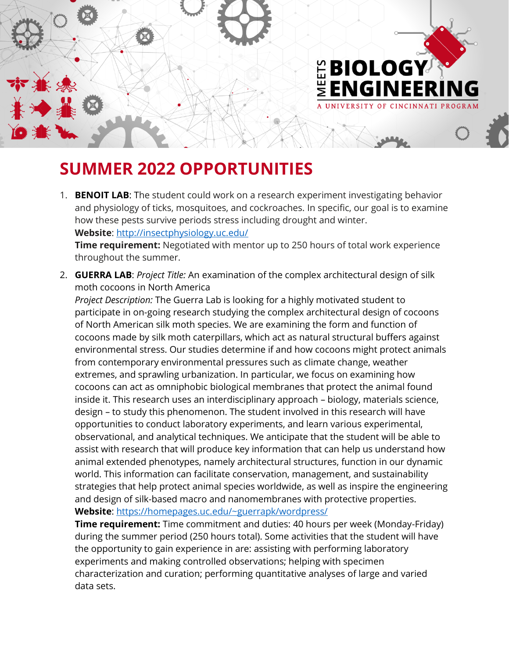

## **SUMMER 2022 OPPORTUNITIES**

- 1. **BENOIT LAB**: The student could work on a research experiment investigating behavior and physiology of ticks, mosquitoes, and cockroaches. In specific, our goal is to examine how these pests survive periods stress including drought and winter. **Website**: [http://insectphysiology.uc.edu/](https://nam11.safelinks.protection.outlook.com/?url=http%3A%2F%2Finsectphysiology.uc.edu%2F&data=04%7C01%7Crollmasm%40ucmail.uc.edu%7Ce0ee0711545c44e99f9b08d960e3f976%7Cf5222e6c5fc648eb8f0373db18203b63%7C1%7C0%7C637647354518928265%7CUnknown%7CTWFpbGZsb3d8eyJWIjoiMC4wLjAwMDAiLCJQIjoiV2luMzIiLCJBTiI6Ik1haWwiLCJXVCI6Mn0%3D%7C1000&sdata=Jql8LVAZGtUNBKStzLsCwSZbcmIiKLJ30BzgkjfTUW4%3D&reserved=0) **Time requirement:** Negotiated with mentor up to 250 hours of total work experience throughout the summer.
- 2. **GUERRA LAB**: *Project Title:* An examination of the complex architectural design of silk moth cocoons in North America

*Project Description:* The Guerra Lab is looking for a highly motivated student to participate in on-going research studying the complex architectural design of cocoons of North American silk moth species. We are examining the form and function of cocoons made by silk moth caterpillars, which act as natural structural buffers against environmental stress. Our studies determine if and how cocoons might protect animals from contemporary environmental pressures such as climate change, weather extremes, and sprawling urbanization. In particular, we focus on examining how cocoons can act as omniphobic biological membranes that protect the animal found inside it. This research uses an interdisciplinary approach – biology, materials science, design – to study this phenomenon. The student involved in this research will have opportunities to conduct laboratory experiments, and learn various experimental, observational, and analytical techniques. We anticipate that the student will be able to assist with research that will produce key information that can help us understand how animal extended phenotypes, namely architectural structures, function in our dynamic world. This information can facilitate conservation, management, and sustainability strategies that help protect animal species worldwide, as well as inspire the engineering and design of silk-based macro and nanomembranes with protective properties. **Website**:<https://homepages.uc.edu/~guerrapk/wordpress/>

**Time requirement:** Time commitment and duties: 40 hours per week (Monday-Friday) during the summer period (250 hours total). Some activities that the student will have the opportunity to gain experience in are: assisting with performing laboratory experiments and making controlled observations; helping with specimen characterization and curation; performing quantitative analyses of large and varied data sets.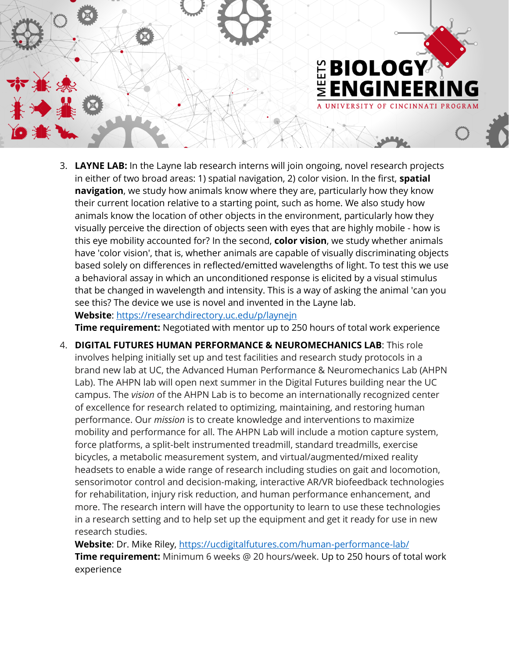

3. **LAYNE LAB:** In the Layne lab research interns will join ongoing, novel research projects in either of two broad areas: 1) spatial navigation, 2) color vision. In the first, **spatial navigation**, we study how animals know where they are, particularly how they know their current location relative to a starting point, such as home. We also study how animals know the location of other objects in the environment, particularly how they visually perceive the direction of objects seen with eyes that are highly mobile - how is this eye mobility accounted for? In the second, **color vision**, we study whether animals have 'color vision', that is, whether animals are capable of visually discriminating objects based solely on differences in reflected/emitted wavelengths of light. To test this we use a behavioral assay in which an unconditioned response is elicited by a visual stimulus that be changed in wavelength and intensity. This is a way of asking the animal 'can you see this? The device we use is novel and invented in the Layne lab. **Website**:<https://researchdirectory.uc.edu/p/laynejn>

**Time requirement:** Negotiated with mentor up to 250 hours of total work experience

4. **DIGITAL FUTURES HUMAN PERFORMANCE & NEUROMECHANICS LAB**: This role involves helping initially set up and test facilities and research study protocols in a brand new lab at UC, the Advanced Human Performance & Neuromechanics Lab (AHPN Lab). The AHPN lab will open next summer in the Digital Futures building near the UC campus. The *vision* of the AHPN Lab is to become an internationally recognized center of excellence for research related to optimizing, maintaining, and restoring human performance. Our *mission* is to create knowledge and interventions to maximize mobility and performance for all. The AHPN Lab will include a motion capture system, force platforms, a split-belt instrumented treadmill, standard treadmills, exercise bicycles, a metabolic measurement system, and virtual/augmented/mixed reality headsets to enable a wide range of research including studies on gait and locomotion, sensorimotor control and decision-making, interactive AR/VR biofeedback technologies for rehabilitation, injury risk reduction, and human performance enhancement, and more. The research intern will have the opportunity to learn to use these technologies in a research setting and to help set up the equipment and get it ready for use in new research studies.

**Website**: Dr. Mike Riley, <https://ucdigitalfutures.com/human-performance-lab/> **Time requirement:** Minimum 6 weeks @ 20 hours/week. Up to 250 hours of total work experience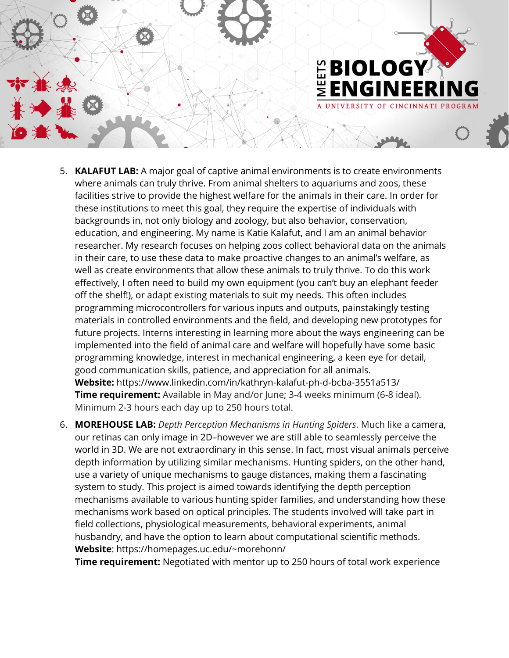

- 5. **KALAFUT LAB:** A major goal of captive animal environments is to create environments where animals can truly thrive. From animal shelters to aquariums and zoos, these facilities strive to provide the highest welfare for the animals in their care. In order for these institutions to meet this goal, they require the expertise of individuals with backgrounds in, not only biology and zoology, but also behavior, conservation, education, and engineering. My name is Katie Kalafut, and I am an animal behavior researcher. My research focuses on helping zoos collect behavioral data on the animals in their care, to use these data to make proactive changes to an animal's welfare, as well as create environments that allow these animals to truly thrive. To do this work effectively, I often need to build my own equipment (you can't buy an elephant feeder off the shelf!), or adapt existing materials to suit my needs. This often includes programming microcontrollers for various inputs and outputs, painstakingly testing materials in controlled environments and the field, and developing new prototypes for future projects. Interns interesting in learning more about the ways engineering can be implemented into the field of animal care and welfare will hopefully have some basic programming knowledge, interest in mechanical engineering, a keen eye for detail, good communication skills, patience, and appreciation for all animals. **Website:** https://www.linkedin.com/in/kathryn-kalafut-ph-d-bcba-3551a513/ **Time requirement:** Available in May and/or June; 3-4 weeks minimum (6-8 ideal). Minimum 2-3 hours each day up to 250 hours total.
- 6. **MOREHOUSE LAB:** *Depth Perception Mechanisms in Hunting Spiders*. Much like a camera, our retinas can only image in 2D–however we are still able to seamlessly perceive the world in 3D. We are not extraordinary in this sense. In fact, most visual animals perceive depth information by utilizing similar mechanisms. Hunting spiders, on the other hand, use a variety of unique mechanisms to gauge distances, making them a fascinating system to study. This project is aimed towards identifying the depth perception mechanisms available to various hunting spider families, and understanding how these mechanisms work based on optical principles. The students involved will take part in field collections, physiological measurements, behavioral experiments, animal husbandry, and have the option to learn about computational scientific methods. **Website**: https://homepages.uc.edu/~morehonn/

**Time requirement:** Negotiated with mentor up to 250 hours of total work experience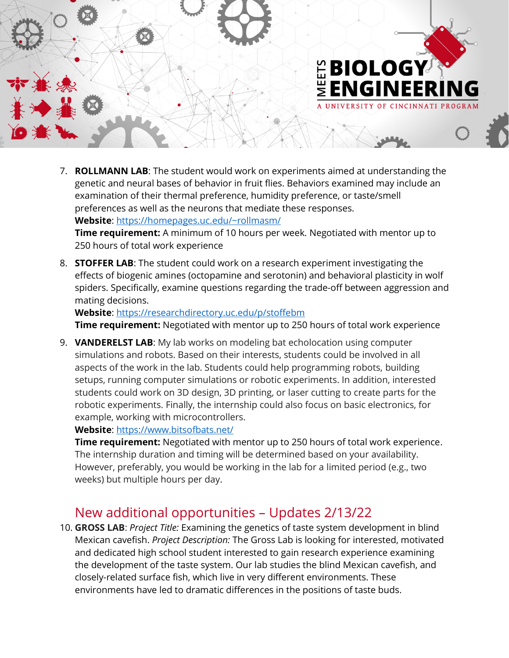

7. **ROLLMANN LAB**: The student would work on experiments aimed at understanding the genetic and neural bases of behavior in fruit flies. Behaviors examined may include an examination of their thermal preference, humidity preference, or taste/smell preferences as well as the neurons that mediate these responses. **Website**:<https://homepages.uc.edu/~rollmasm/> **Time requirement:** A minimum of 10 hours per week. Negotiated with mentor up to

250 hours of total work experience

8. **STOFFER LAB**: The student could work on a research experiment investigating the effects of biogenic amines (octopamine and serotonin) and behavioral plasticity in wolf spiders. Specifically, examine questions regarding the trade-off between aggression and mating decisions.

**Website**: [https://researchdirectory.uc.edu/p/stoffebm](https://nam11.safelinks.protection.outlook.com/?url=https%3A%2F%2Fresearchdirectory.uc.edu%2Fp%2Fstoffebm&data=04%7C01%7Crollmasm%40ucmail.uc.edu%7C663007627b8041040bde08d9e10e68f0%7Cf5222e6c5fc648eb8f0373db18203b63%7C1%7C0%7C637788274266211640%7CUnknown%7CTWFpbGZsb3d8eyJWIjoiMC4wLjAwMDAiLCJQIjoiV2luMzIiLCJBTiI6Ik1haWwiLCJXVCI6Mn0%3D%7C3000&sdata=QhIiNkDfYQGGNQqRWU8x2wPLFrU%2FKAuPIkJdpNXBZfo%3D&reserved=0) **Time requirement:** Negotiated with mentor up to 250 hours of total work experience

9. **VANDERELST LAB**: My lab works on modeling bat echolocation using computer simulations and robots. Based on their interests, students could be involved in all aspects of the work in the lab. Students could help programming robots, building setups, running computer simulations or robotic experiments. In addition, interested students could work on 3D design, 3D printing, or laser cutting to create parts for the robotic experiments. Finally, the internship could also focus on basic electronics, for example, working with microcontrollers.

**Website**:<https://www.bitsofbats.net/>

**Time requirement:** Negotiated with mentor up to 250 hours of total work experience. The internship duration and timing will be determined based on your availability. However, preferably, you would be working in the lab for a limited period (e.g., two weeks) but multiple hours per day.

## New additional opportunities – Updates 2/13/22

10. **GROSS LAB**: *Project Title:* Examining the genetics of taste system development in blind Mexican cavefish. *Project Description:* The Gross Lab is looking for interested, motivated and dedicated high school student interested to gain research experience examining the development of the taste system. Our lab studies the blind Mexican cavefish, and closely-related surface fish, which live in very different environments. These environments have led to dramatic differences in the positions of taste buds.